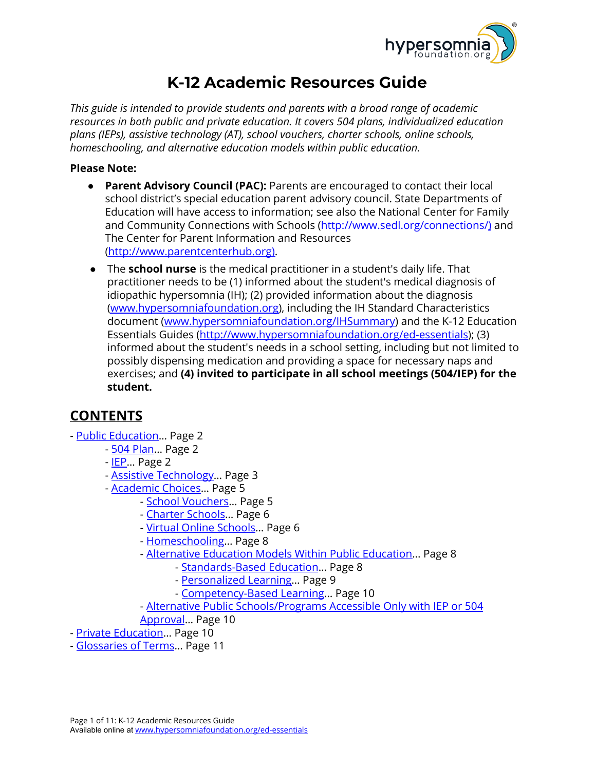

# **K-12 Academic Resources Guide**

*This guide is intended to provide students and parents with a broad range of academic resources in both public and private education. It covers 504 plans, individualized education plans (IEPs), assistive technology (AT), school vouchers, charter schools, online schools, homeschooling, and alternative education models within public education.*

#### **Please Note:**

- **Parent Advisory Council (PAC):** Parents are encouraged to contact their local school district's special education parent advisory council. State Departments of Education will have access to information; see also the National Center for Family and Community Connections with Schools ([http://www.sedl.org/connections/\)](http://www.sedl.org/connections/)) and The Center for Parent Information and Resources (http://www.parentcenterhub.org).
- **●** The **school nurse** is the medical practitioner in a student's daily life. That practitioner needs to be (1) informed about the student's medical diagnosis of idiopathic hypersomnia (IH); (2) provided information about the diagnosis [\(www.hypersomniafoundation.org](http://www.hypersomniafoundation.org/)), including the IH Standard Characteristics document ([www.hypersomniafoundation.org/IHSummary](http://www.hypersomniafoundation.org/IHSummary)) and the K-12 Education Essentials Guides (<http://www.hypersomniafoundation.org/ed-essentials>); (3) informed about the student's needs in a school setting, including but not limited to possibly dispensing medication and providing a space for necessary naps and exercises; and **(4) invited to participate in all school meetings (504/IEP) for the student.**

## <span id="page-0-0"></span>**CONTENTS**

- Public [Education…](#page-1-0) Page 2
	- 504 [Plan](#page-1-1)... Page 2
	- [IEP](#page-1-2)… Page 2
	- Assistive [Technology…](#page-2-0) Page 3
	- [Academic](#page-4-0) Choices… Page 5
		- School [Vouchers](#page-4-1)… Page 5
		- Charter [Schools](#page-5-0)… Page 6
		- Virtual Online [Schools](#page-5-1)… Page 6
		- [Homeschooling](#page-7-0)… Page 8
		- [Alternative](#page-7-1) Education Models Within Public Education… Page 8
			- [Standards-Based](#page-7-2) Education… Page 8
			- [Personalized](#page-8-0) Learning… Page 9
			- [Competency-Based](#page-8-1) Learning… Page 10
		- Alternative Public [Schools/Programs](#page-9-0) Accessible Only with IEP or 504 [Approval…](#page-9-0) Page 10
- Private [Education…](#page-9-1) Page 10
- [Glossaries](#page-10-0) of Terms… Page 11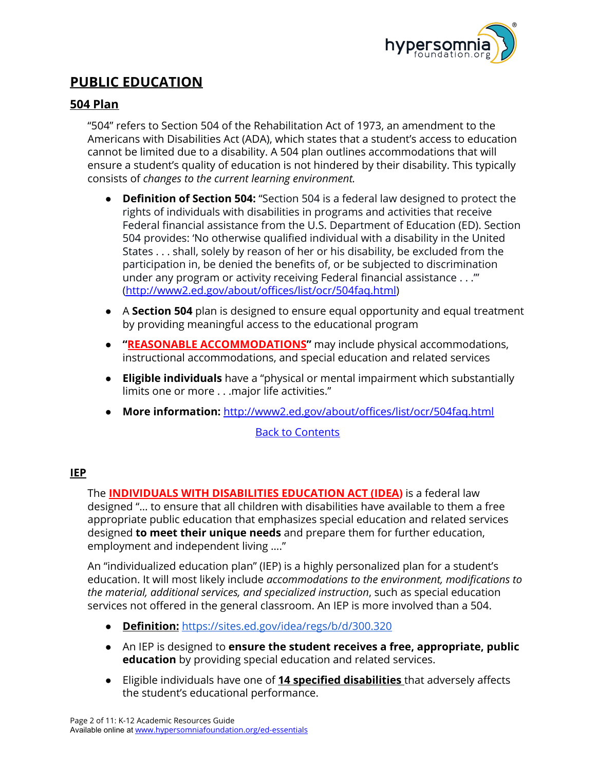

## <span id="page-1-0"></span>**PUBLIC EDUCATION**

## <span id="page-1-1"></span>**504 Plan**

"504" refers to Section 504 of the Rehabilitation Act of 1973, an amendment to the Americans with Disabilities Act (ADA), which states that a student's access to education cannot be limited due to a disability. A 504 plan outlines accommodations that will ensure a student's quality of education is not hindered by their disability. This typically consists of *changes to the current learning environment.*

- **● Definition of Section 504:** "Section 504 is a federal law designed to protect the rights of individuals with disabilities in programs and activities that receive Federal financial assistance from the U.S. Department of Education (ED). Section 504 provides: 'No otherwise qualified individual with a disability in the United States . . . shall, solely by reason of her or his disability, be excluded from the participation in, be denied the benefits of, or be subjected to discrimination under any program or activity receiving Federal financial assistance . . .'" [\(http://www2.ed.gov/about/offices/list/ocr/504faq.html](http://www2.ed.gov/about/offices/list/ocr/504faq.html))
- **●** A **Section 504** plan is designed to ensure equal opportunity and equal treatment by providing meaningful access to the educational program
- **● "REASONABLE ACCOMMODATIONS"** may include physical accommodations, instructional accommodations, and special education and related services
- **● Eligible individuals** have a "physical or mental impairment which substantially limits one or more . . .major life activities."
- **● More information:** <http://www2.ed.gov/about/offices/list/ocr/504faq.html>

#### Back to [Contents](#page-0-0)

## <span id="page-1-2"></span>**IEP**

The **INDIVIDUALS WITH DISABILITIES EDUCATION ACT (IDEA)** is a federal law designed "… to ensure that all children with disabilities have available to them a free appropriate public education that emphasizes special education and related services designed **to meet their unique needs** and prepare them for further education, employment and independent living …."

An "individualized education plan" (IEP) is a highly personalized plan for a student's education. It will most likely include *accommodations to the environment, modifications to the material, additional services, and specialized instruction*, such as special education services not offered in the general classroom. An IEP is more involved than a 504.

- **Definition:** <https://sites.ed.gov/idea/regs/b/d/300.320>
- An IEP is designed to **ensure the student receives a free, appropriate, public education** by providing special education and related services.
- Eligible individuals have one of **14 specified disabilities** that adversely affects the student's educational performance.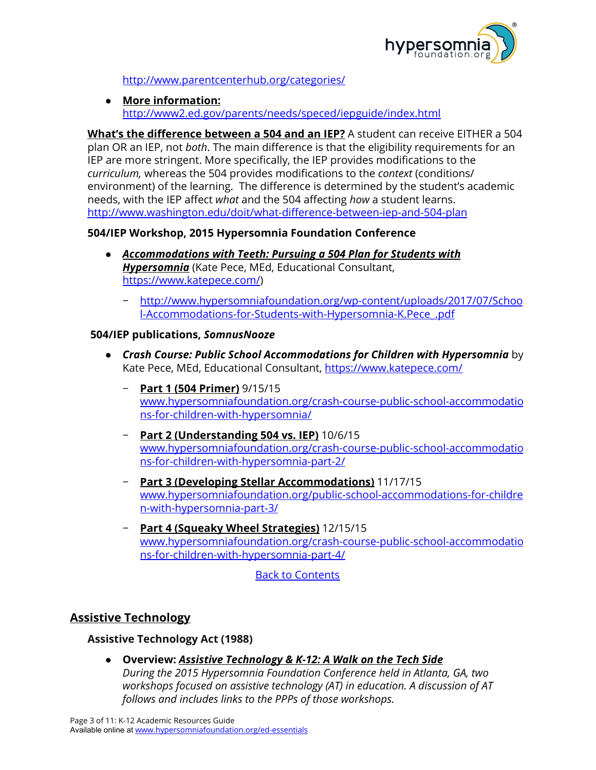

<http://www.parentcenterhub.org/categories/>

● **More information:** <http://www2.ed.gov/parents/needs/speced/iepguide/index.html>

**What's the difference between a 504 and an IEP?** A student can receive EITHER a 504 plan OR an IEP, not *both*. The main difference is that the eligibility requirements for an IEP are more stringent. More specifically, the IEP provides modifications to the *curriculum,* whereas the 504 provides modifications to the *context* (conditions/ environment) of the learning. The difference is determined by the student's academic needs, with the IEP affect *what* and the 504 affecting *how* a student learns. <http://www.washington.edu/doit/what-difference-between-iep-and-504-plan>

## **504/IEP Workshop, 2015 Hypersomnia Foundation Conference**

- *Accommodations with Teeth: Pursuing a 504 Plan for Students with Hypersomnia* (Kate Pece, MEd, Educational Consultant, <https://www.katepece.com/>)
	- − [http://www.hypersomniafoundation.org/wp-content/uploads/2017/07/Schoo](http://www.hypersomniafoundation.org/wp-content/uploads/2017/07/School-Accommodations-for-Students-with-Hypersomnia-K.Pece_.pdf) [l-Accommodations-for-Students-with-Hypersomnia-K.Pece\\_.pdf](http://www.hypersomniafoundation.org/wp-content/uploads/2017/07/School-Accommodations-for-Students-with-Hypersomnia-K.Pece_.pdf)

## **504/IEP publications,** *SomnusNooze*

- *Crash Course: Public School Accommodations for Children with Hypersomnia* by Kate Pece, MEd, Educational Consultant, <https://www.katepece.com/>
	- − **Part 1 (504 Primer)** 9/15/15 [www.hypersomniafoundation.org/crash-course-public-school-accommodatio](http://www.hypersomniafoundation.org/crash-course-public-school-accommodations-for-children-with-hypersomnia/) [ns-for-children-with-hypersomnia/](http://www.hypersomniafoundation.org/crash-course-public-school-accommodations-for-children-with-hypersomnia/)
	- − **Part 2 (Understanding 504 vs. IEP)** 10/6/15 [www.hypersomniafoundation.org/crash-course-public-school-accommodatio](http://www.hypersomniafoundation.org/crash-course-public-school-accommodations-for-children-with-hypersomnia-part-2/) [ns-for-children-with-hypersomnia-part-2/](http://www.hypersomniafoundation.org/crash-course-public-school-accommodations-for-children-with-hypersomnia-part-2/)
	- − **Part 3 (Developing Stellar Accommodations)** 11/17/15 [www.hypersomniafoundation.org/public-school-accommodations-for-childre](http://www.hypersomniafoundation.org/public-school-accommodations-for-children-with-hypersomnia-part-3/) [n-with-hypersomnia-part-3/](http://www.hypersomniafoundation.org/public-school-accommodations-for-children-with-hypersomnia-part-3/)
	- − **Part 4 (Squeaky Wheel Strategies)** 12/15/15 [www.hypersomniafoundation.org/crash-course-public-school-accommodatio](http://www.hypersomniafoundation.org/crash-course-public-school-accommodations-for-children-with-hypersomnia-part-4/) [ns-for-children-with-hypersomnia-part-4/](http://www.hypersomniafoundation.org/crash-course-public-school-accommodations-for-children-with-hypersomnia-part-4/)

Back to [Contents](#page-0-0)

## <span id="page-2-0"></span>**Assistive Technology**

## **Assistive Technology Act (1988)**

**● Overview:** *Assistive Technology & K-12: A Walk on the Tech Side During the 2015 Hypersomnia Foundation Conference held in Atlanta, GA, two workshops focused on assistive technology (AT) in education. A discussion of AT follows and includes links to the PPPs of those workshops.*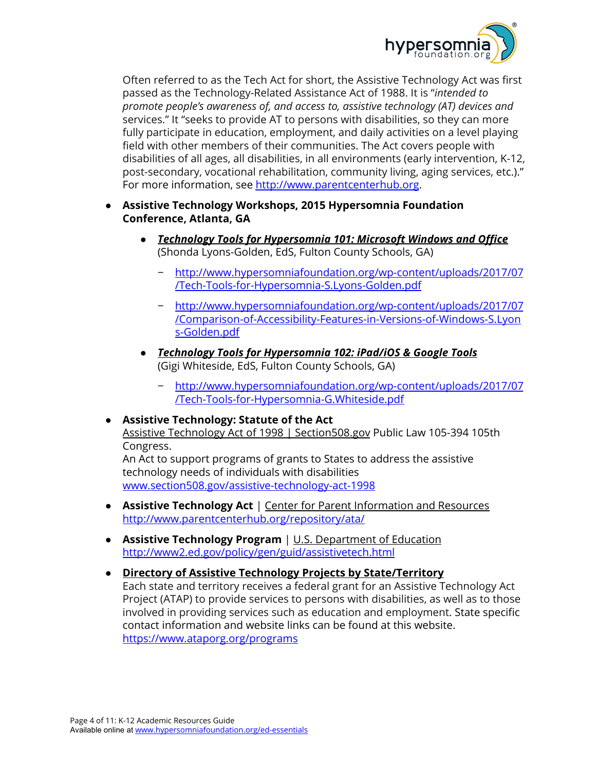

Often referred to as the Tech Act for short, the Assistive Technology Act was first passed as the Technology-Related Assistance Act of 1988. It is "*intended to promote people's awareness of, and access to, assistive technology (AT) devices and* services." It "seeks to provide AT to persons with disabilities, so they can more fully participate in education, employment, and daily activities on a level playing field with other members of their communities. The Act covers people with disabilities of all ages, all disabilities, in all environments (early intervention, K-12, post-secondary, vocational rehabilitation, community living, aging services, etc.)." For more information, see [http://www.parentcenterhub.org](http://www.parentcenterhub.org/).

## ● **Assistive Technology Workshops, 2015 Hypersomnia Foundation Conference, Atlanta, GA**

- *Technology Tools for Hypersomnia 101: Microsoft Windows and Office* (Shonda Lyons-Golden, EdS, Fulton County Schools, GA)
	- − [http://www.hypersomniafoundation.org/wp-content/uploads/2017/07](http://www.hypersomniafoundation.org/wp-content/uploads/2017/07/Tech-Tools-for-Hypersomnia-S.Lyons-Golden.pdf) [/Tech-Tools-for-Hypersomnia-S.Lyons-Golden.pdf](http://www.hypersomniafoundation.org/wp-content/uploads/2017/07/Tech-Tools-for-Hypersomnia-S.Lyons-Golden.pdf)
	- − [http://www.hypersomniafoundation.org/wp-content/uploads/2017/07](http://www.hypersomniafoundation.org/wp-content/uploads/2017/07/Comparison-of-Accessibility-Features-in-Versions-of-Windows-S.Lyons-Golden.pdf) [/Comparison-of-Accessibility-Features-in-Versions-of-Windows-S.Lyon](http://www.hypersomniafoundation.org/wp-content/uploads/2017/07/Comparison-of-Accessibility-Features-in-Versions-of-Windows-S.Lyons-Golden.pdf) [s-Golden.pdf](http://www.hypersomniafoundation.org/wp-content/uploads/2017/07/Comparison-of-Accessibility-Features-in-Versions-of-Windows-S.Lyons-Golden.pdf)
- **●** *Technology Tools for Hypersomnia 102: iPad/iOS & Google Tools* (Gigi Whiteside, EdS, Fulton County Schools, GA)
	- − [http://www.hypersomniafoundation.org/wp-content/uploads/2017/07](http://www.hypersomniafoundation.org/wp-content/uploads/2017/07/Tech-Tools-for-Hypersomnia-G.Whiteside.pdf) [/Tech-Tools-for-Hypersomnia-G.Whiteside.pdf](http://www.hypersomniafoundation.org/wp-content/uploads/2017/07/Tech-Tools-for-Hypersomnia-G.Whiteside.pdf)
- **Assistive Technology: Statute of the Act** Assistive Technology Act of 1998 | Section508.gov Public Law 105-394 105th Congress.

An Act to support programs of grants to States to address the assistive technology needs of individuals with disabilities [www.section508.gov/assistive-technology-act-1998](http://www.section508.gov/assistive-technology-act-1998)

- **Assistive Technology Act** | Center for Parent Information and Resources <http://www.parentcenterhub.org/repository/ata/>
- **● Assistive Technology Program** | U.S. Department of Education <http://www2.ed.gov/policy/gen/guid/assistivetech.html>
- **Directory of Assistive Technology Projects by State/Territory** Each state and territory receives a federal grant for an Assistive Technology Act Project (ATAP) to provide services to persons with disabilities, as well as to those involved in providing services such as education and employment. State specific contact information and website links can be found at this website. <https://www.ataporg.org/programs>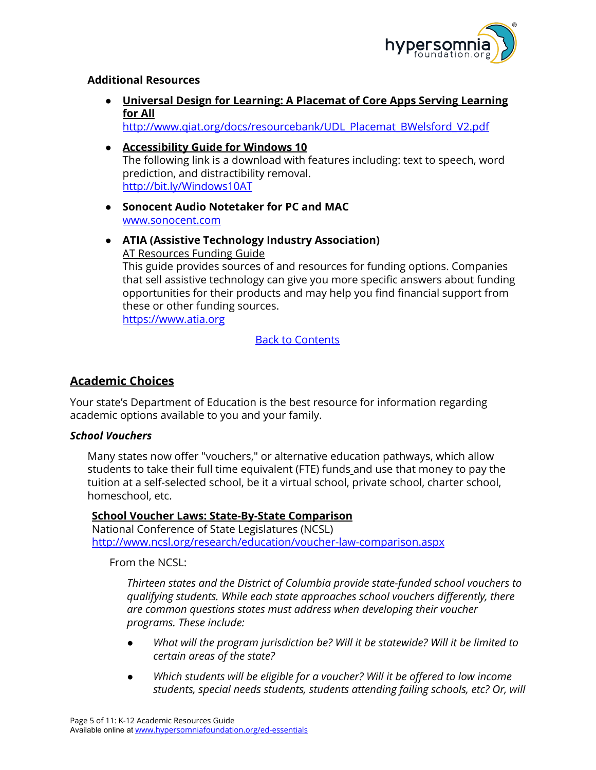

#### **Additional Resources**

**● Universal Design for Learning: A Placemat of Core Apps Serving Learning for All**

[http://www.qiat.org/docs/resourcebank/UDL\\_Placemat\\_BWelsford\\_V2.pdf](http://www.qiat.org/docs/resourcebank/UDL_Placemat_BWelsford_V2.pdf)

- **● Accessibility Guide for Windows 10** The following link is a download with features including: text to speech, word prediction, and distractibility removal. <http://bit.ly/Windows10AT>
- **● Sonocent Audio Notetaker for PC and MAC** [www.sonocent.com](http://www.sonocent.com/)
- **● ATIA (Assistive Technology Industry Association)** AT Resources Funding Guide This guide provides sources of and resources for funding options. Companies that sell assistive technology can give you more specific answers about funding opportunities for their products and may help you find financial support from these or other funding sources.

[https://www.atia.org](https://www.atia.org/)

Back to [Contents](#page-0-0)

## <span id="page-4-0"></span>**Academic Choices**

Your state's Department of Education is the best resource for information regarding academic options available to you and your family.

#### <span id="page-4-1"></span>*School Vouchers*

Many states now offer "vouchers," or alternative education pathways, which allow students to take their full time equivalent (FTE) funds and use that money to pay the tuition at a self-selected school, be it a virtual school, private school, charter school, homeschool, etc.

**School Voucher Laws: State-By-State Comparison** National Conference of State Legislatures (NCSL) <http://www.ncsl.org/research/education/voucher-law-comparison.aspx>

From the NCSL:

*Thirteen states and the District of Columbia provide state-funded school vouchers to qualifying students. While each state approaches school vouchers differently, there are common questions states must address when developing their voucher programs. These include:*

- *● What will the program jurisdiction be? Will it be statewide? Will it be limited to certain areas of the state?*
- *● Which students will be eligible for a voucher? Will it be offered to low income students, special needs students, students attending failing schools, etc? Or, will*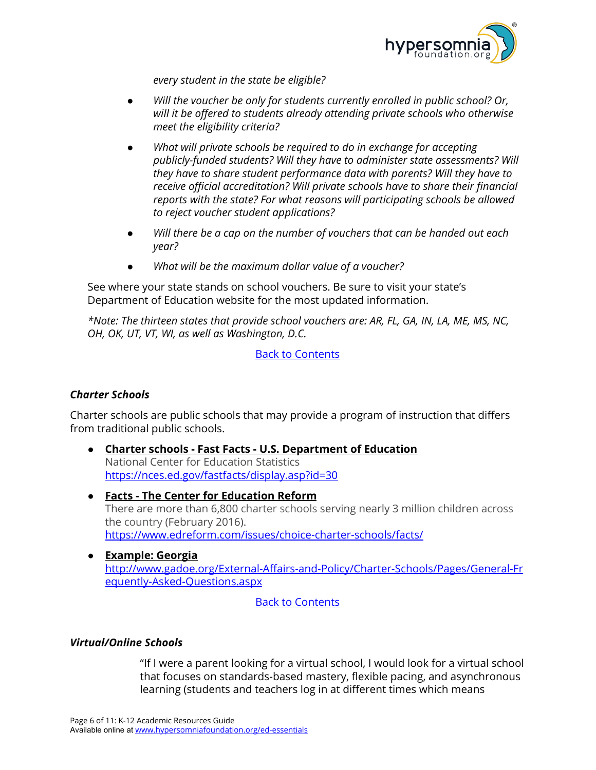

*every student in the state be eligible?*

- *● Will the voucher be only for students currently enrolled in public school? Or, will it be offered to students already attending private schools who otherwise meet the eligibility criteria?*
- *● What will private schools be required to do in exchange for accepting publicly-funded students? Will they have to administer state assessments? Will they have to share student performance data with parents? Will they have to receive official accreditation? Will private schools have to share their financial reports with the state? For what reasons will participating schools be allowed to reject voucher student applications?*
- *● Will there be a cap on the number of vouchers that can be handed out each year?*
- *● What will be the maximum dollar value of a voucher?*

See where your state stands on school vouchers. Be sure to visit your state's Department of Education website for the most updated information.

*\*Note: The thirteen states that provide school vouchers are: AR, FL, GA, IN, LA, ME, MS, NC, OH, OK, UT, VT, WI, as well as Washington, D.C.*

Back to [Contents](#page-0-0)

## <span id="page-5-0"></span>*Charter Schools*

Charter schools are public schools that may provide a program of instruction that differs from traditional public schools.

- **● Charter schools - Fast Facts - U.S. Department of Education** National Center for Education Statistics <https://nces.ed.gov/fastfacts/display.asp?id=30>
- **● Facts - The Center for Education Reform** There are more than 6,800 charter schools serving nearly 3 million children across the country (February 2016). <https://www.edreform.com/issues/choice-charter-schools/facts/>
- **● Example: Georgia** [http://www.gadoe.org/External-Affairs-and-Policy/Charter-Schools/Pages/General-Fr](http://www.gadoe.org/External-Affairs-and-Policy/Charter-Schools/Pages/General-Frequently-Asked-Questions.aspx) [equently-Asked-Questions.aspx](http://www.gadoe.org/External-Affairs-and-Policy/Charter-Schools/Pages/General-Frequently-Asked-Questions.aspx)

#### Back to [Contents](#page-0-0)

#### <span id="page-5-1"></span>*Virtual/Online Schools*

"If I were a parent looking for a virtual school, I would look for a virtual school that focuses on standards-based mastery, flexible pacing, and asynchronous learning (students and teachers log in at different times which means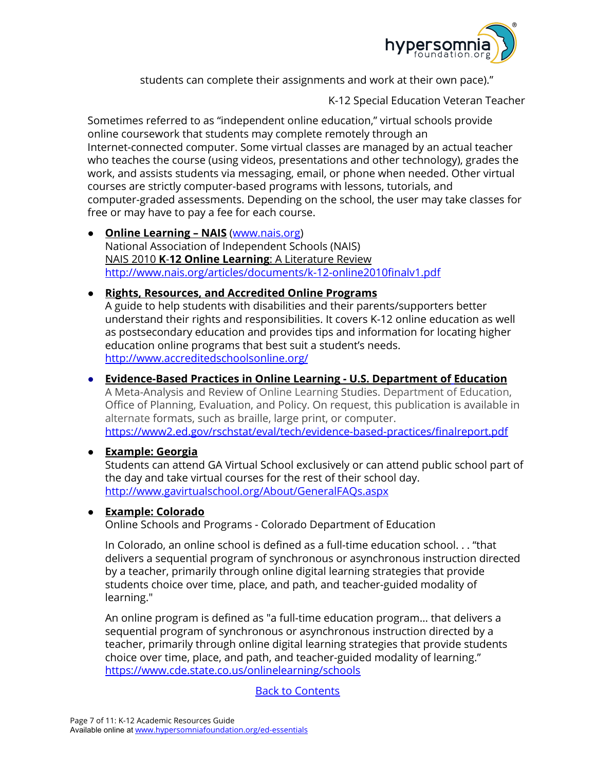

students can complete their assignments and work at their own pace)."

K-12 Special Education Veteran Teacher

Sometimes referred to as "independent online education," virtual schools provide online coursework that students may complete remotely through an Internet-connected computer. Some virtual classes are managed by an actual teacher who teaches the course (using videos, presentations and other technology), grades the work, and assists students via messaging, email, or phone when needed. Other virtual courses are strictly computer-based programs with lessons, tutorials, and computer-graded assessments. Depending on the school, the user may take classes for free or may have to pay a fee for each course.

**● Online Learning – NAIS** [\(www.nais.org\)](http://www.nais.org/) National Association of Independent Schools (NAIS) NAIS 2010 **K**-**12 Online Learning**: A Literature Review <http://www.nais.org/articles/documents/k-12-online2010finalv1.pdf>

## ● **Rights, Resources, and Accredited Online Programs**

A guide to help students with disabilities and their parents/supporters better understand their rights and responsibilities. It covers K-12 online education as well as postsecondary education and provides tips and information for locating higher education online programs that best suit a student's needs. <http://www.accreditedschoolsonline.org/>

## **● Evidence-Based Practices in Online Learning - U.S. Department of Education**

A Meta-Analysis and Review of Online Learning Studies. Department of Education, Office of Planning, Evaluation, and Policy. On request, this publication is available in alternate formats, such as braille, large print, or computer. <https://www2.ed.gov/rschstat/eval/tech/evidence-based-practices/finalreport.pdf>

## **● Example: Georgia**

Students can attend GA Virtual School exclusively or can attend public school part of the day and take virtual courses for the rest of their school day. <http://www.gavirtualschool.org/About/GeneralFAQs.aspx>

## **● Example: Colorado**

Online Schools and Programs - Colorado [Department](https://www.cde.state.co.us/onlinelearning/schools) of Education

In Colorado, an online school is defined as a full-time education school. . . "that delivers a sequential program of synchronous or asynchronous instruction directed by a teacher, primarily through online digital learning strategies that provide students choice over time, place, and path, and teacher-guided modality of learning."

An online program is defined as "a full-time education program… that delivers a sequential program of synchronous or asynchronous instruction directed by a teacher, primarily through online digital learning strategies that provide students choice over time, place, and path, and teacher-guided modality of learning." <https://www.cde.state.co.us/onlinelearning/schools>

Back to [Contents](#page-0-0)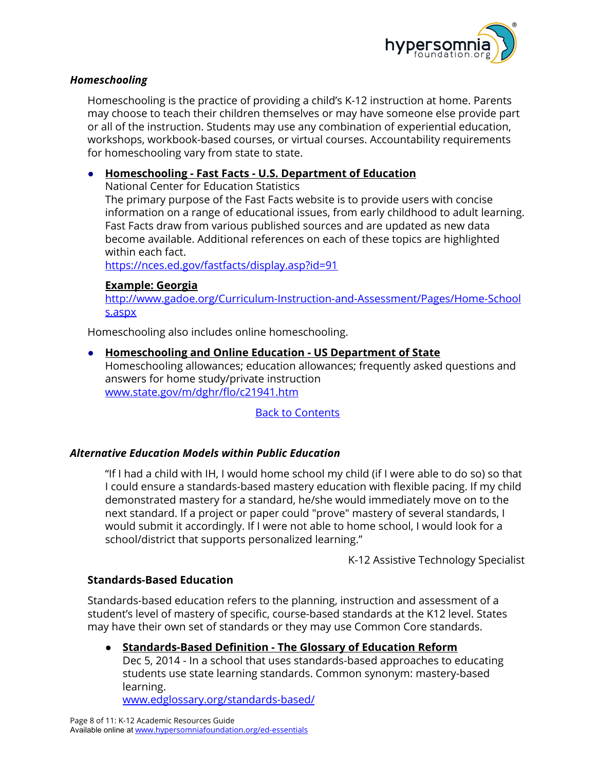

#### <span id="page-7-0"></span>*Homeschooling*

Homeschooling is the practice of providing a child's K-12 instruction at home. Parents may choose to teach their children themselves or may have someone else provide part or all of the instruction. Students may use any combination of experiential education, workshops, workbook-based courses, or virtual courses. Accountability requirements for homeschooling vary from state to state.

#### **● Homeschooling - Fast Facts - U.S. Department of Education**

National Center for Education Statistics

The primary purpose of the Fast Facts website is to provide users with concise information on a range of educational issues, from early childhood to adult learning. Fast Facts draw from various published sources and are updated as new data become available. Additional references on each of these topics are highlighted within each fact.

<https://nces.ed.gov/fastfacts/display.asp?id=91>

#### **Example: Georgia**

[http://www.gadoe.org/Curriculum-Instruction-and-Assessment/Pages/Home-School](http://www.gadoe.org/Curriculum-Instruction-and-Assessment/Pages/Home-Schools.aspx) [s.aspx](http://www.gadoe.org/Curriculum-Instruction-and-Assessment/Pages/Home-Schools.aspx)

Homeschooling also includes online homeschooling.

## **● Homeschooling and Online Education - US Department of State**

Homeschooling allowances; education allowances; frequently asked questions and answers for home study/private instruction [www.state.gov/m/dghr/flo/c21941.htm](http://www.state.gov/m/dghr/flo/c21941.htm)

Back to [Contents](#page-0-0)

#### <span id="page-7-1"></span>*Alternative Education Models within Public Education*

"If I had a child with IH, I would home school my child (if I were able to do so) so that I could ensure a standards-based mastery education with flexible pacing. If my child demonstrated mastery for a standard, he/she would immediately move on to the next standard. If a project or paper could "prove" mastery of several standards, I would submit it accordingly. If I were not able to home school, I would look for a school/district that supports personalized learning."

K-12 Assistive Technology Specialist

#### <span id="page-7-2"></span>**Standards-Based Education**

Standards-based education refers to the planning, instruction and assessment of a student's level of mastery of specific, course-based standards at the K12 level. States may have their own set of standards or they may use Common Core standards.

**● Standards-Based Definition - The Glossary of Education Reform** Dec 5, 2014 - In a school that uses standards-based approaches to educating students use state learning standards. Common synonym: mastery-based learning.

[www.edglossary.org/standards-based/](http://www.edglossary.org/standards-based/)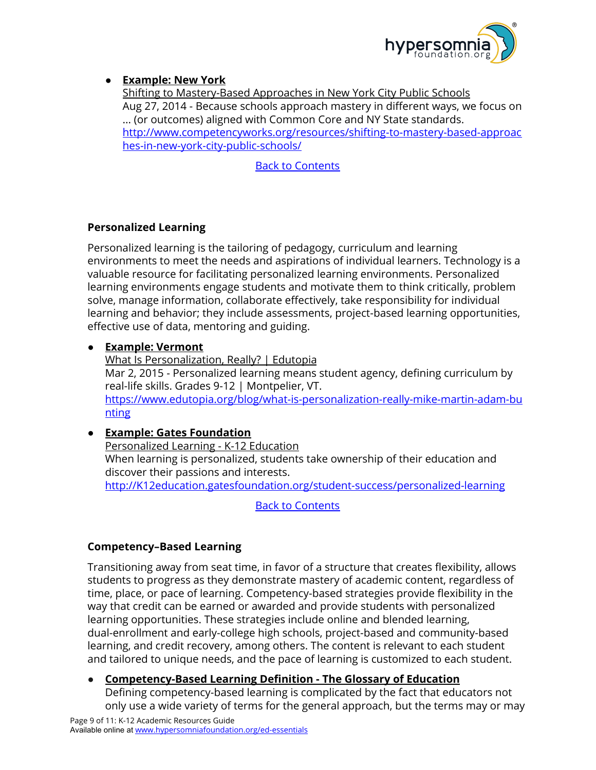

## **● Example: New York**

Shifting to Mastery-Based Approaches in New York City Public Schools Aug 27, 2014 - Because schools approach mastery in different ways, we focus on ... (or outcomes) aligned with Common Core and NY State standards. [http://www.competencyworks.org/resources/shifting-to-mastery-based-approac](http://www.competencyworks.org/resources/shifting-to-mastery-based-approaches-in-new-york-city-public-schools/) [hes-in-new-york-city-public-schools/](http://www.competencyworks.org/resources/shifting-to-mastery-based-approaches-in-new-york-city-public-schools/)

Back to [Contents](#page-0-0)

## <span id="page-8-0"></span>**Personalized Learning**

Personalized learning is the tailoring of pedagogy, curriculum and learning environments to meet the needs and aspirations of individual learners. Technology is a valuable resource for facilitating personalized learning environments. Personalized learning environments engage students and motivate them to think critically, problem solve, manage information, collaborate effectively, take responsibility for individual learning and behavior; they include assessments, project-based learning opportunities, effective use of data, mentoring and guiding.

## **● Example: Vermont**

What Is Personalization, Really? | Edutopia Mar 2, 2015 - Personalized learning means student agency, defining curriculum by real-life skills. Grades 9-12 | Montpelier, VT. [https://www.edutopia.org/blog/what-is-personalization-really-mike-martin-adam-bu](https://www.edutopia.org/blog/what-is-personalization-really-mike-martin-adam-bunting) [nting](https://www.edutopia.org/blog/what-is-personalization-really-mike-martin-adam-bunting)

## **● Example: Gates Foundation**

Personalized Learning - K-12 Education When learning is personalized, students take ownership of their education and discover their passions and interests. [http://K12education.gatesfoundation.org/student-success/personalized-learning](http://k12education.gatesfoundation.org/student-success/personalized-learning)

Back to [Contents](#page-0-0)

## <span id="page-8-1"></span>**Competency–Based Learning**

Transitioning away from seat time, in favor of a structure that creates flexibility, allows students to progress as they demonstrate mastery of academic content, regardless of time, place, or pace of learning. Competency-based strategies provide flexibility in the way that credit can be earned or awarded and provide students with personalized learning opportunities. These strategies include online and blended learning, dual-enrollment and early-college high schools, project-based and community-based learning, and credit recovery, among others. The content is relevant to each student and tailored to unique needs, and the pace of learning is customized to each student.

**● Competency-Based Learning Definition - The Glossary of Education** Defining competency-based learning is complicated by the fact that educators not only use a wide variety of terms for the general approach, but the terms may or may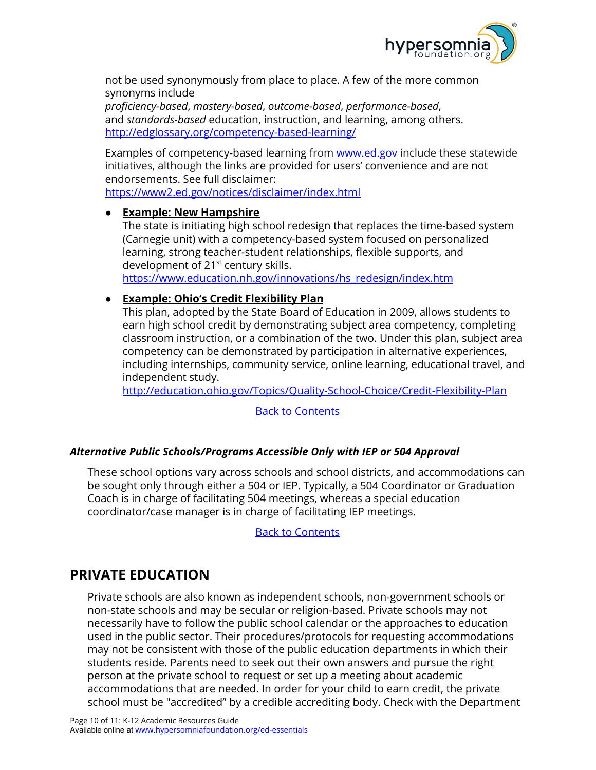

not be used synonymously from place to place. A few of the more common synonyms include

*proficiency-based*, *mastery-based*, *outcome-based*, *performance-based*, and *standards-based* education, instruction, and learning, among others. <http://edglossary.org/competency-based-learning/>

Examples of competency-based learning from [www.ed.gov](http://www.ed.gov/) include these statewide initiatives, although the links are provided for users' convenience and are not endorsements. See full disclaimer: <https://www2.ed.gov/notices/disclaimer/index.html>

#### ● **Example: New Hampshire**

The state is initiating high school redesign that replaces the time-based system (Carnegie unit) with a competency-based system focused on personalized learning, strong teacher-student relationships, flexible supports, and development of 21<sup>st</sup> century skills.

[https://www.education.nh.gov/innovations/hs\\_redesign/index.htm](https://www.education.nh.gov/innovations/hs_redesign/index.htm)

## ● **Example: Ohio's Credit Flexibility Plan**

This plan, adopted by the State Board of Education in 2009, allows students to earn high school credit by demonstrating subject area competency, completing classroom instruction, or a combination of the two. Under this plan, subject area competency can be demonstrated by participation in alternative experiences, including internships, community service, online learning, educational travel, and independent study.

<http://education.ohio.gov/Topics/Quality-School-Choice/Credit-Flexibility-Plan>

## Back to [Contents](#page-0-0)

## <span id="page-9-0"></span>*Alternative Public Schools/Programs Accessible Only with IEP or 504 Approval*

These school options vary across schools and school districts, and accommodations can be sought only through either a 504 or IEP. Typically, a 504 Coordinator or Graduation Coach is in charge of facilitating 504 meetings, whereas a special education coordinator/case manager is in charge of facilitating IEP meetings.

Back to [Contents](#page-0-0)

## <span id="page-9-1"></span>**PRIVATE EDUCATION**

Private schools are also known as independent schools, non-government schools or non-state schools and may be secular or religion-based. Private schools may not necessarily have to follow the public school calendar or the approaches to education used in the public sector. Their procedures/protocols for requesting accommodations may not be consistent with those of the public education departments in which their students reside. Parents need to seek out their own answers and pursue the right person at the private school to request or set up a meeting about academic accommodations that are needed. In order for your child to earn credit, the private school must be "accredited" by a credible accrediting body. Check with the Department